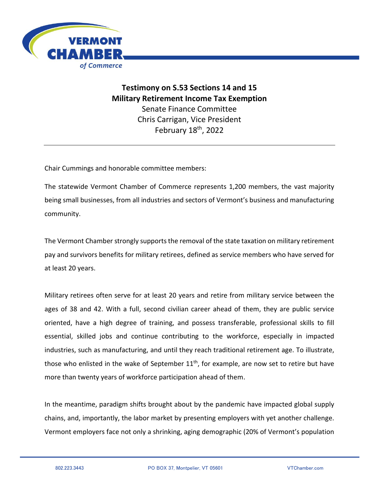

**Testimony on S.53 Sections 14 and 15 Military Retirement Income Tax Exemption** Senate Finance Committee Chris Carrigan, Vice President February 18th, 2022

Chair Cummings and honorable committee members:

The statewide Vermont Chamber of Commerce represents 1,200 members, the vast majority being small businesses, from all industries and sectors of Vermont's business and manufacturing community.

The Vermont Chamber strongly supports the removal of the state taxation on military retirement pay and survivors benefits for military retirees, defined as service members who have served for at least 20 years.

Military retirees often serve for at least 20 years and retire from military service between the ages of 38 and 42. With a full, second civilian career ahead of them, they are public service oriented, have a high degree of training, and possess transferable, professional skills to fill essential, skilled jobs and continue contributing to the workforce, especially in impacted industries, such as manufacturing, and until they reach traditional retirement age. To illustrate, those who enlisted in the wake of September 11<sup>th</sup>, for example, are now set to retire but have more than twenty years of workforce participation ahead of them.

In the meantime, paradigm shifts brought about by the pandemic have impacted global supply chains, and, importantly, the labor market by presenting employers with yet another challenge. Vermont employers face not only a shrinking, aging demographic (20% of Vermont's population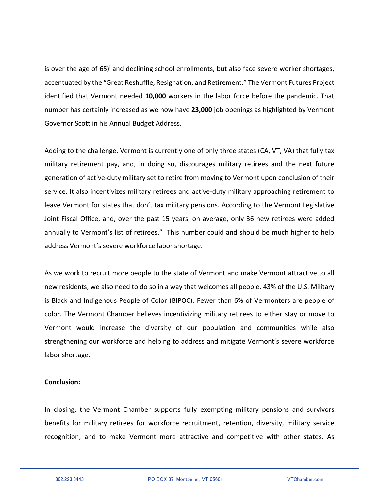is over the age of  $65$ <sup> $\text{I}$ </sup> and declining school enrollments, but also face severe worker shortages, accentuated by the "Great Reshuffle, Resignation, and Retirement." The Vermont Futures Project identified that Vermont needed **10,000** workers in the labor force before the pandemic. That number has certainly increased as we now have **23,000** job openings as highlighted by Vermont Governor Scott in his Annual Budget Address.

Adding to the challenge, Vermont is currently one of only three states (CA, VT, VA) that fully tax military retirement pay, and, in doing so, discourages military retirees and the next future generation of active-duty military set to retire from moving to Vermont upon conclusion of their service. It also incentivizes military retirees and active-duty military approaching retirement to leave Vermont for states that don't tax military pensions. According to the Vermont Legislative Joint Fiscal Office, and, over the past 15 years, on average, only 36 new retirees were added annually to Vermont's list of retirees."<sup>ii</sup> This number could and should be much higher to help address Vermont's severe workforce labor shortage.

As we work to recruit more people to the state of Vermont and make Vermont attractive to all new residents, we also need to do so in a way that welcomes all people. 43% of the U.S. Military is Black and Indigenous People of Color (BIPOC). Fewer than 6% of Vermonters are people of color. The Vermont Chamber believes incentivizing military retirees to either stay or move to Vermont would increase the diversity of our population and communities while also strengthening our workforce and helping to address and mitigate Vermont's severe workforce labor shortage.

## **Conclusion:**

In closing, the Vermont Chamber supports fully exempting military pensions and survivors benefits for military retirees for workforce recruitment, retention, diversity, military service recognition, and to make Vermont more attractive and competitive with other states. As